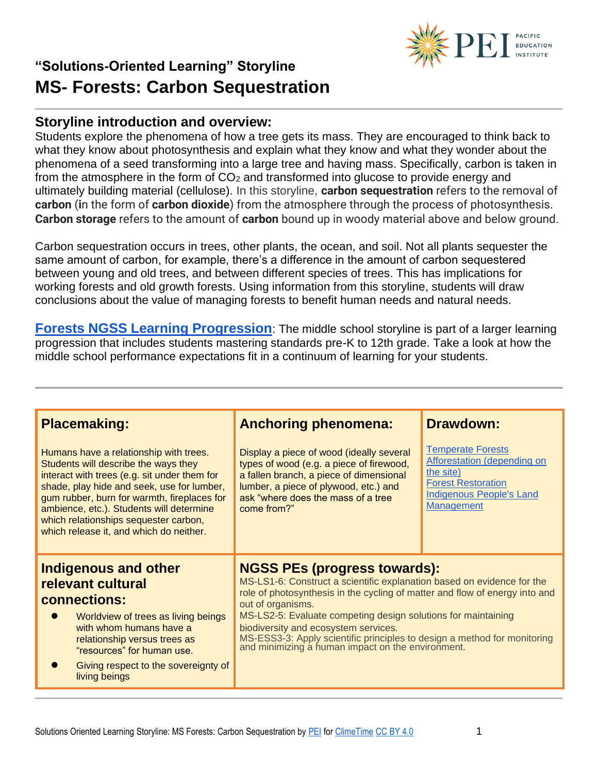#### **Storyline introduction and overview:**

Students explore the phenomena of how a tree gets its mass. They are encouraged to think back to what they know about photosynthesis and explain what they know and what they wonder about the phenomena of a seed transforming into a large tree and having mass. Specifically, carbon is taken in from the atmosphere in the form of  $CO<sub>2</sub>$  and transformed into glucose to provide energy and ultimately building material (cellulose). In this storyline, **carbon sequestration** refers to the removal of **carbon** (**i**n the form of **carbon dioxide**) from the atmosphere through the process of photosynthesis. **Carbon storage** refers to the amount of **carbon** bound up in woody material above and below ground.

Carbon sequestration occurs in trees, other plants, the ocean, and soil. Not all plants sequester the same amount of carbon, for example, there's a difference in the amount of carbon sequestered between young and old trees, and between different species of trees. This has implications for working forests and old growth forests. Using information from this storyline, students will draw conclusions about the value of managing forests to benefit human needs and natural needs.

**[Forests NGSS Learning Progression](https://pacificeductioninstitute.sharepoint.com/:x:/s/Program/EYI7Fd4NTkBNncWNqRLJh6YBfX9Vw1py_cLvIPW5H66BXw?e=4tXrAl)**: The middle school storyline is part of a larger learning progression that includes students mastering standards pre-K to 12th grade. Take a look at how the middle school performance expectations fit in a continuum of learning for your students.

| <b>Placemaking:</b>                                                                                                                                                                                                                                                                                                                                         | <b>Anchoring phenomena:</b>                                                                                                                                                                                                                                                                                                                                                                                                                                 | <b>Drawdown:</b>                                                                                                                                          |
|-------------------------------------------------------------------------------------------------------------------------------------------------------------------------------------------------------------------------------------------------------------------------------------------------------------------------------------------------------------|-------------------------------------------------------------------------------------------------------------------------------------------------------------------------------------------------------------------------------------------------------------------------------------------------------------------------------------------------------------------------------------------------------------------------------------------------------------|-----------------------------------------------------------------------------------------------------------------------------------------------------------|
| Humans have a relationship with trees.<br>Students will describe the ways they<br>interact with trees (e.g. sit under them for<br>shade, play hide and seek, use for lumber,<br>gum rubber, burn for warmth, fireplaces for<br>ambience, etc.). Students will determine<br>which relationships sequester carbon,<br>which release it, and which do neither. | Display a piece of wood (ideally several<br>types of wood (e.g. a piece of firewood,<br>a fallen branch, a piece of dimensional<br>lumber, a piece of plywood, etc.) and<br>ask "where does the mass of a tree<br>come from?"                                                                                                                                                                                                                               | <b>Temperate Forests</b><br><b>Afforestation (depending on</b><br>the site)<br><b>Forest Restoration</b><br><b>Indigenous People's Land</b><br>Management |
| <b>Indigenous and other</b><br>relevant cultural<br>connections:<br>Worldview of trees as living beings<br>with whom humans have a<br>relationship versus trees as<br>"resources" for human use.<br>Giving respect to the sovereignty of<br>living beings                                                                                                   | <b>NGSS PEs (progress towards):</b><br>MS-LS1-6: Construct a scientific explanation based on evidence for the<br>role of photosynthesis in the cycling of matter and flow of energy into and<br>out of organisms.<br>MS-LS2-5: Evaluate competing design solutions for maintaining<br>biodiversity and ecosystem services.<br>MS-ESS3-3: Apply scientific principles to design a method for monitoring<br>and minimizing a human impact on the environment. |                                                                                                                                                           |



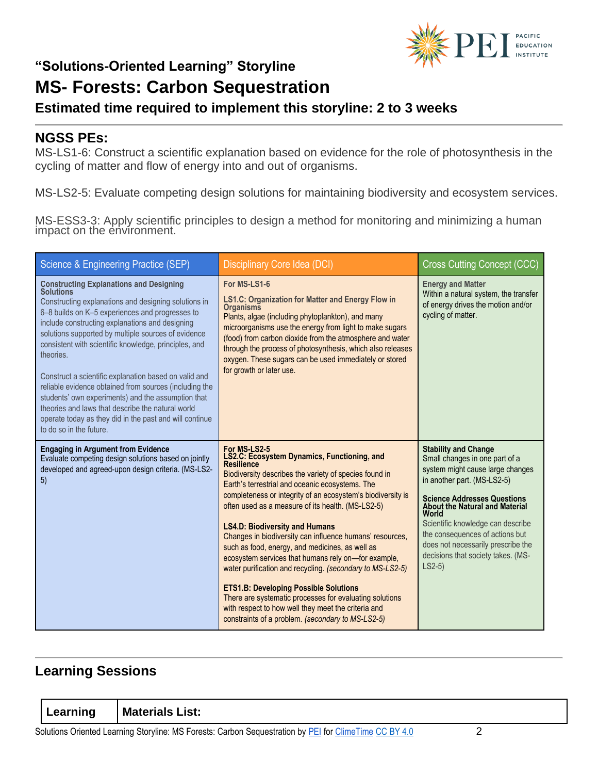

#### **Estimated time required to implement this storyline: 2 to 3 weeks**

#### **NGSS PEs:**

MS-LS1-6: Construct a scientific explanation based on evidence for the role of photosynthesis in the cycling of matter and flow of energy into and out of organisms.

MS-LS2-5: Evaluate competing design solutions for maintaining biodiversity and ecosystem services.

MS-ESS3-3: Apply scientific principles to design a method for monitoring and minimizing a human impact on the environment.

| Science & Engineering Practice (SEP)                                                                                                                                                                                                                                                                                                                                                                                                                                                                                                                                                                                                                                              | Disciplinary Core Idea (DCI)                                                                                                                                                                                                                                                                                                                                                                                                                                                                                                                                                                                                                                                                                                                                                                                                | <b>Cross Cutting Concept (CCC)</b>                                                                                                                                                                                                                                                                                                                                                      |
|-----------------------------------------------------------------------------------------------------------------------------------------------------------------------------------------------------------------------------------------------------------------------------------------------------------------------------------------------------------------------------------------------------------------------------------------------------------------------------------------------------------------------------------------------------------------------------------------------------------------------------------------------------------------------------------|-----------------------------------------------------------------------------------------------------------------------------------------------------------------------------------------------------------------------------------------------------------------------------------------------------------------------------------------------------------------------------------------------------------------------------------------------------------------------------------------------------------------------------------------------------------------------------------------------------------------------------------------------------------------------------------------------------------------------------------------------------------------------------------------------------------------------------|-----------------------------------------------------------------------------------------------------------------------------------------------------------------------------------------------------------------------------------------------------------------------------------------------------------------------------------------------------------------------------------------|
| <b>Constructing Explanations and Designing</b><br><b>Solutions</b><br>Constructing explanations and designing solutions in<br>6-8 builds on K-5 experiences and progresses to<br>include constructing explanations and designing<br>solutions supported by multiple sources of evidence<br>consistent with scientific knowledge, principles, and<br>theories.<br>Construct a scientific explanation based on valid and<br>reliable evidence obtained from sources (including the<br>students' own experiments) and the assumption that<br>theories and laws that describe the natural world<br>operate today as they did in the past and will continue<br>to do so in the future. | For MS-LS1-6<br><b>LS1.C: Organization for Matter and Energy Flow in</b><br><b>Organisms</b><br>Plants, algae (including phytoplankton), and many<br>microorganisms use the energy from light to make sugars<br>(food) from carbon dioxide from the atmosphere and water<br>through the process of photosynthesis, which also releases<br>oxygen. These sugars can be used immediately or stored<br>for growth or later use.                                                                                                                                                                                                                                                                                                                                                                                                | <b>Energy and Matter</b><br>Within a natural system, the transfer<br>of energy drives the motion and/or<br>cycling of matter.                                                                                                                                                                                                                                                           |
| <b>Engaging in Argument from Evidence</b><br>Evaluate competing design solutions based on jointly<br>developed and agreed-upon design criteria. (MS-LS2-<br>5)                                                                                                                                                                                                                                                                                                                                                                                                                                                                                                                    | For MS-LS2-5<br><b>LS2.C: Ecosystem Dynamics, Functioning, and</b><br><b>Resilience</b><br>Biodiversity describes the variety of species found in<br>Earth's terrestrial and oceanic ecosystems. The<br>completeness or integrity of an ecosystem's biodiversity is<br>often used as a measure of its health. (MS-LS2-5)<br><b>LS4.D: Biodiversity and Humans</b><br>Changes in biodiversity can influence humans' resources,<br>such as food, energy, and medicines, as well as<br>ecosystem services that humans rely on-for example,<br>water purification and recycling. (secondary to MS-LS2-5)<br><b>ETS1.B: Developing Possible Solutions</b><br>There are systematic processes for evaluating solutions<br>with respect to how well they meet the criteria and<br>constraints of a problem. (secondary to MS-LS2-5) | <b>Stability and Change</b><br>Small changes in one part of a<br>system might cause large changes<br>in another part. (MS-LS2-5)<br><b>Science Addresses Questions</b><br><b>About the Natural and Material</b><br>World<br>Scientific knowledge can describe<br>the consequences of actions but<br>does not necessarily prescribe the<br>decisions that society takes. (MS-<br>$LS2-5$ |

#### **Learning Sessions**

| Learning | <b>Materials List:</b>                                                    |  |
|----------|---------------------------------------------------------------------------|--|
|          | O IP O O O IT IT OF OLIT INOT O LOOK A LOOK IN THE OPINION OF THE OOD MAN |  |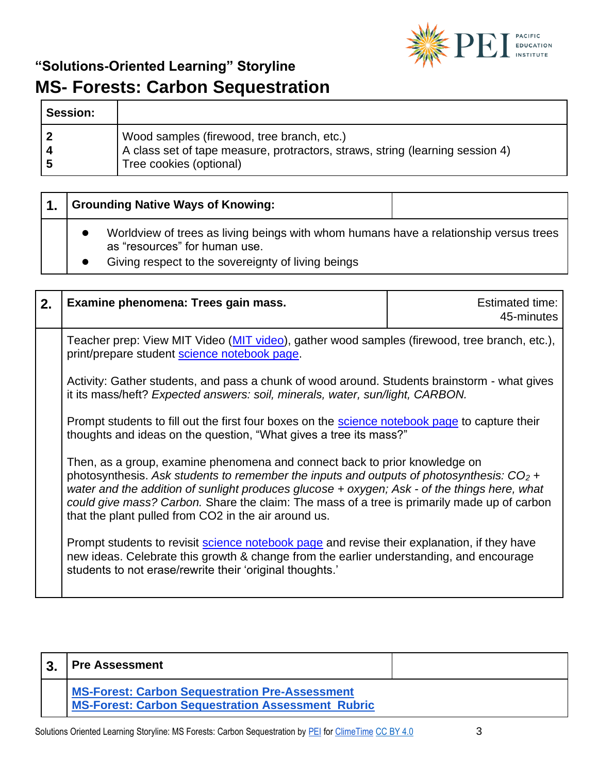

| <b>Session:</b> |                                                                                                                                                        |
|-----------------|--------------------------------------------------------------------------------------------------------------------------------------------------------|
|                 | Wood samples (firewood, tree branch, etc.)<br>A class set of tape measure, protractors, straws, string (learning session 4)<br>Tree cookies (optional) |

|  | <b>Grounding Native Ways of Knowing:</b>                                                                               |  |
|--|------------------------------------------------------------------------------------------------------------------------|--|
|  | Worldview of trees as living beings with whom humans have a relationship versus trees<br>as "resources" for human use. |  |
|  | Giving respect to the sovereignty of living beings                                                                     |  |

| 2. | Examine phenomena: Trees gain mass.                                                                                                                                                                                                                                                                                                                                                                                             | <b>Estimated time:</b><br>45-minutes |
|----|---------------------------------------------------------------------------------------------------------------------------------------------------------------------------------------------------------------------------------------------------------------------------------------------------------------------------------------------------------------------------------------------------------------------------------|--------------------------------------|
|    | Teacher prep: View MIT Video (MIT video), gather wood samples (firewood, tree branch, etc.),<br>print/prepare student science notebook page.                                                                                                                                                                                                                                                                                    |                                      |
|    | Activity: Gather students, and pass a chunk of wood around. Students brainstorm - what gives<br>it its mass/heft? Expected answers: soil, minerals, water, sun/light, CARBON.                                                                                                                                                                                                                                                   |                                      |
|    | Prompt students to fill out the first four boxes on the <b>science notebook page</b> to capture their<br>thoughts and ideas on the question, "What gives a tree its mass?"                                                                                                                                                                                                                                                      |                                      |
|    | Then, as a group, examine phenomena and connect back to prior knowledge on<br>photosynthesis. Ask students to remember the inputs and outputs of photosynthesis: $CO2$ +<br>water and the addition of sunlight produces glucose + oxygen; Ask - of the things here, what<br>could give mass? Carbon. Share the claim: The mass of a tree is primarily made up of carbon<br>that the plant pulled from CO2 in the air around us. |                                      |
|    | Prompt students to revisit <b>science notebook page</b> and revise their explanation, if they have<br>new ideas. Celebrate this growth & change from the earlier understanding, and encourage<br>students to not erase/rewrite their 'original thoughts.'                                                                                                                                                                       |                                      |

| າ | <b>Pre Assessment</b>                                                                                             |  |
|---|-------------------------------------------------------------------------------------------------------------------|--|
|   | <b>MS-Forest: Carbon Sequestration Pre-Assessment</b><br><b>MS-Forest: Carbon Sequestration Assessment Rubric</b> |  |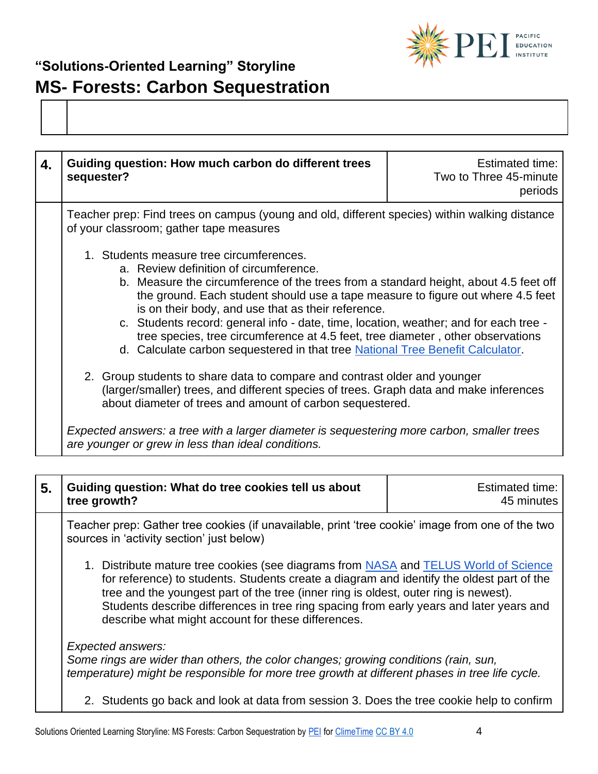

| 4. | Guiding question: How much carbon do different trees<br>sequester?                                                                                                                                                                                                                                                                                                                                                                                                                                                                                                                | Estimated time:<br>Two to Three 45-minute<br>periods |
|----|-----------------------------------------------------------------------------------------------------------------------------------------------------------------------------------------------------------------------------------------------------------------------------------------------------------------------------------------------------------------------------------------------------------------------------------------------------------------------------------------------------------------------------------------------------------------------------------|------------------------------------------------------|
|    | Teacher prep: Find trees on campus (young and old, different species) within walking distance<br>of your classroom; gather tape measures                                                                                                                                                                                                                                                                                                                                                                                                                                          |                                                      |
|    | 1. Students measure tree circumferences.<br>a. Review definition of circumference.<br>b. Measure the circumference of the trees from a standard height, about 4.5 feet off<br>the ground. Each student should use a tape measure to figure out where 4.5 feet<br>is on their body, and use that as their reference.<br>c. Students record: general info - date, time, location, weather; and for each tree -<br>tree species, tree circumference at 4.5 feet, tree diameter, other observations<br>d. Calculate carbon sequestered in that tree National Tree Benefit Calculator. |                                                      |
|    | 2. Group students to share data to compare and contrast older and younger<br>(larger/smaller) trees, and different species of trees. Graph data and make inferences<br>about diameter of trees and amount of carbon sequestered.                                                                                                                                                                                                                                                                                                                                                  |                                                      |
|    | Expected answers: a tree with a larger diameter is sequestering more carbon, smaller trees<br>are younger or grew in less than ideal conditions.                                                                                                                                                                                                                                                                                                                                                                                                                                  |                                                      |

| 5. Guiding question: What do tree cookies tell us about | Estimated time: |
|---------------------------------------------------------|-----------------|
| $ $ tree growth?                                        | 45 minutes      |

Teacher prep: Gather tree cookies (if unavailable, print 'tree cookie' image from one of the two sources in 'activity section' just below)

1. Distribute mature tree cookies (see diagrams from [NASA](https://climate.nasa.gov/news/2540/tree-rings-provide-snapshots-of-earths-past-climate/) and [TELUS World of Science](https://www.scienceworld.ca/resources/activities/old-growth-trees) for reference) to students. Students create a diagram and identify the oldest part of the tree and the youngest part of the tree (inner ring is oldest, outer ring is newest). Students describe differences in tree ring spacing from early years and later years and describe what might account for these differences.

*Expected answers:* 

*Some rings are wider than others, the color changes; growing conditions (rain, sun, temperature) might be responsible for more tree growth at different phases in tree life cycle.* 

2. Students go back and look at data from session 3. Does the tree cookie help to confirm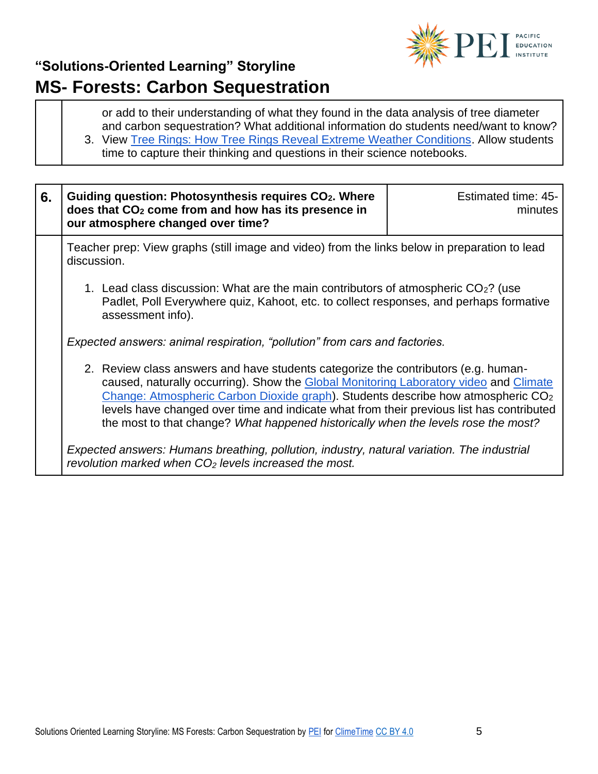

or add to their understanding of what they found in the data analysis of tree diameter and carbon sequestration? What additional information do students need/want to know? 3. View [Tree Rings: How Tree Rings Reveal Extreme Weather Conditions.](https://www.youtube.com/watch?v=xmZO7aRgcW4) Allow students time to capture their thinking and questions in their science notebooks.

| 6. | Guiding question: Photosynthesis requires CO <sub>2</sub> . Where<br>does that CO <sub>2</sub> come from and how has its presence in<br>our atmosphere changed over time?                                                                                                                                                                                                                                                                                     | Estimated time: 45-<br>minutes |
|----|---------------------------------------------------------------------------------------------------------------------------------------------------------------------------------------------------------------------------------------------------------------------------------------------------------------------------------------------------------------------------------------------------------------------------------------------------------------|--------------------------------|
|    | Teacher prep: View graphs (still image and video) from the links below in preparation to lead<br>discussion.                                                                                                                                                                                                                                                                                                                                                  |                                |
|    | 1. Lead class discussion: What are the main contributors of atmospheric $CO2$ ? (use<br>Padlet, Poll Everywhere quiz, Kahoot, etc. to collect responses, and perhaps formative<br>assessment info).                                                                                                                                                                                                                                                           |                                |
|    | Expected answers: animal respiration, "pollution" from cars and factories.                                                                                                                                                                                                                                                                                                                                                                                    |                                |
|    | 2. Review class answers and have students categorize the contributors (e.g. human-<br>caused, naturally occurring). Show the Global Monitoring Laboratory video and Climate<br>Change: Atmospheric Carbon Dioxide graph). Students describe how atmospheric CO <sub>2</sub><br>levels have changed over time and indicate what from their previous list has contributed<br>the most to that change? What happened historically when the levels rose the most? |                                |
|    | Expected answers: Humans breathing, pollution, industry, natural variation. The industrial<br>revolution marked when $CO2$ levels increased the most.                                                                                                                                                                                                                                                                                                         |                                |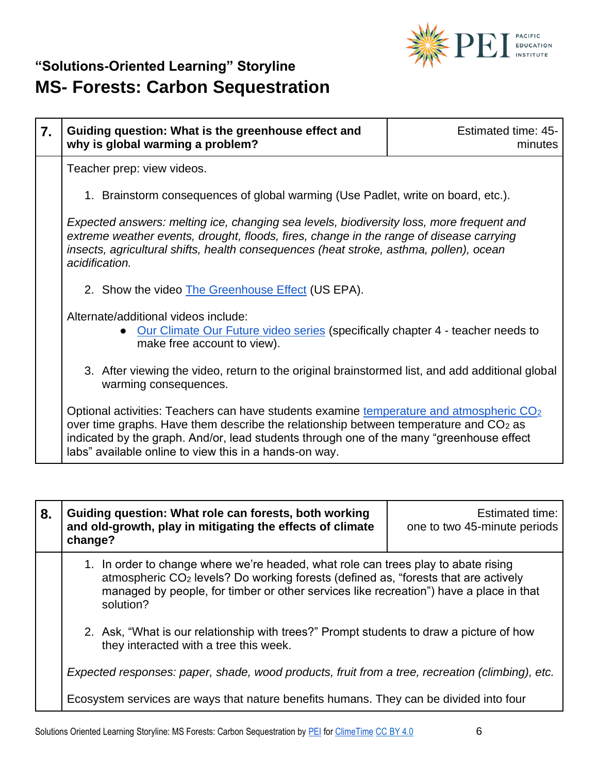

| 7. | Guiding question: What is the greenhouse effect and<br>why is global warming a problem?                                                                                                                                                                                                                                                             | Estimated time: 45-<br>minutes |
|----|-----------------------------------------------------------------------------------------------------------------------------------------------------------------------------------------------------------------------------------------------------------------------------------------------------------------------------------------------------|--------------------------------|
|    | Teacher prep: view videos.                                                                                                                                                                                                                                                                                                                          |                                |
|    | 1. Brainstorm consequences of global warming (Use Padlet, write on board, etc.).                                                                                                                                                                                                                                                                    |                                |
|    | Expected answers: melting ice, changing sea levels, biodiversity loss, more frequent and<br>extreme weather events, drought, floods, fires, change in the range of disease carrying<br>insects, agricultural shifts, health consequences (heat stroke, asthma, pollen), ocean<br>acidification.                                                     |                                |
|    | 2. Show the video The Greenhouse Effect (US EPA).                                                                                                                                                                                                                                                                                                   |                                |
|    | Alternate/additional videos include:<br>Our Climate Our Future video series (specifically chapter 4 - teacher needs to<br>make free account to view).                                                                                                                                                                                               |                                |
|    | 3. After viewing the video, return to the original brainstormed list, and add additional global<br>warming consequences.                                                                                                                                                                                                                            |                                |
|    | Optional activities: Teachers can have students examine temperature and atmospheric CO <sub>2</sub><br>over time graphs. Have them describe the relationship between temperature and $CO2$ as<br>indicated by the graph. And/or, lead students through one of the many "greenhouse effect<br>labs" available online to view this in a hands-on way. |                                |

| 8. | Guiding question: What role can forests, both working<br>and old-growth, play in mitigating the effects of climate<br>change?                                                                                                                                                               | <b>Estimated time:</b><br>one to two 45-minute periods |
|----|---------------------------------------------------------------------------------------------------------------------------------------------------------------------------------------------------------------------------------------------------------------------------------------------|--------------------------------------------------------|
|    | 1. In order to change where we're headed, what role can trees play to abate rising<br>atmospheric CO <sub>2</sub> levels? Do working forests (defined as, "forests that are actively<br>managed by people, for timber or other services like recreation") have a place in that<br>solution? |                                                        |
|    | 2. Ask, "What is our relationship with trees?" Prompt students to draw a picture of how<br>they interacted with a tree this week.                                                                                                                                                           |                                                        |
|    | Expected responses: paper, shade, wood products, fruit from a tree, recreation (climbing), etc.                                                                                                                                                                                             |                                                        |
|    | Ecosystem services are ways that nature benefits humans. They can be divided into four                                                                                                                                                                                                      |                                                        |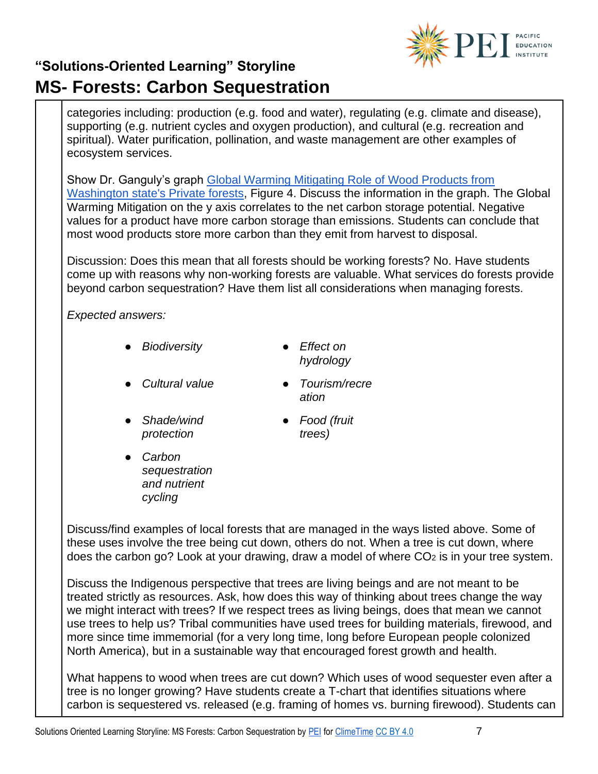

categories including: production (e.g. food and water), regulating (e.g. climate and disease), supporting (e.g. nutrient cycles and oxygen production), and cultural (e.g. recreation and spiritual). Water purification, pollination, and waste management are other examples of ecosystem services.

Show Dr. Ganguly's graph [Global Warming Mitigating Role of Wood Products from](https://www.mdpi.com/1999-4907/11/2/194/htm)  [Washington state's Private forests,](https://www.mdpi.com/1999-4907/11/2/194/htm) Figure 4. Discuss the information in the graph. The Global Warming Mitigation on the y axis correlates to the net carbon storage potential. Negative values for a product have more carbon storage than emissions. Students can conclude that most wood products store more carbon than they emit from harvest to disposal.

Discussion: Does this mean that all forests should be working forests? No. Have students come up with reasons why non-working forests are valuable. What services do forests provide beyond carbon sequestration? Have them list all considerations when managing forests.

*Expected answers:*

- *Biodiversity Effect on* 
	- *hydrology*
- *Cultural value Tourism/recre*
- *ation*
- *Shade/wind protection*
- *Food (fruit trees)*
- *Carbon sequestration and nutrient cycling*

Discuss/find examples of local forests that are managed in the ways listed above. Some of these uses involve the tree being cut down, others do not. When a tree is cut down, where does the carbon go? Look at your drawing, draw a model of where  $CO<sub>2</sub>$  is in your tree system.

Discuss the Indigenous perspective that trees are living beings and are not meant to be treated strictly as resources. Ask, how does this way of thinking about trees change the way we might interact with trees? If we respect trees as living beings, does that mean we cannot use trees to help us? Tribal communities have used trees for building materials, firewood, and more since time immemorial (for a very long time, long before European people colonized North America), but in a sustainable way that encouraged forest growth and health.

What happens to wood when trees are cut down? Which uses of wood sequester even after a tree is no longer growing? Have students create a T-chart that identifies situations where carbon is sequestered vs. released (e.g. framing of homes vs. burning firewood). Students can